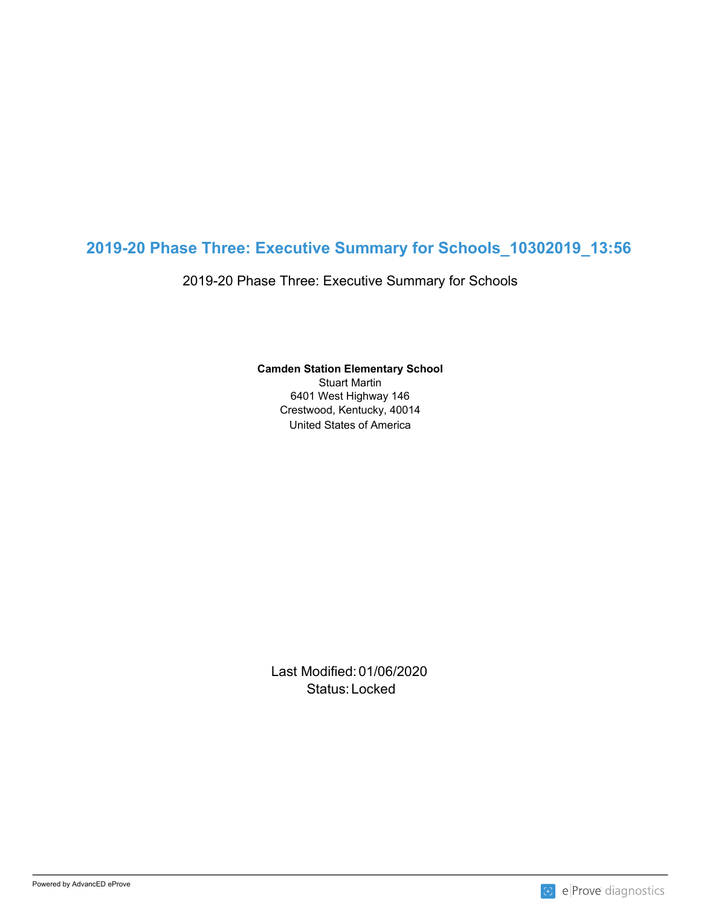# **2019-20 Phase Three: Executive Summary for Schools\_10302019\_13:56**

2019-20 Phase Three: Executive Summary for Schools

**Camden Station Elementary School**

United States of America Stuart Martin 6401 West Highway 146 Crestwood, Kentucky, 40014

Last Modified: 01/06/2020 Status: Locked and the status of the status of the status of the status of the status of the status of the status of the status of the status of the status of the status of the status of the status of the status of the sta

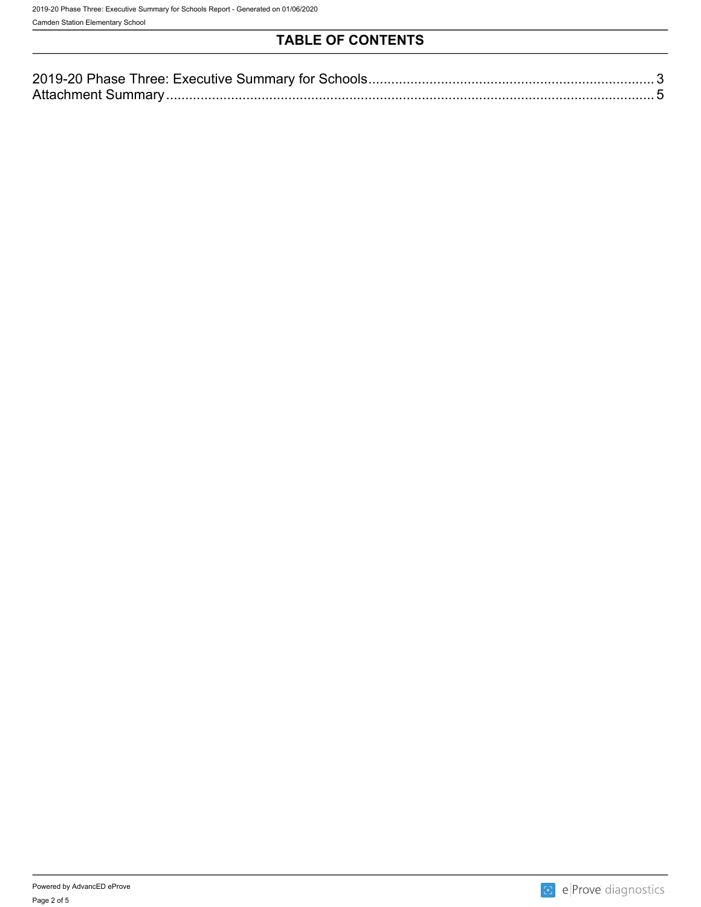## **TABLE OF CONTENTS**

| 2019-2<br><b>Executive</b><br>1 M |  |
|-----------------------------------|--|
| Attachmen                         |  |

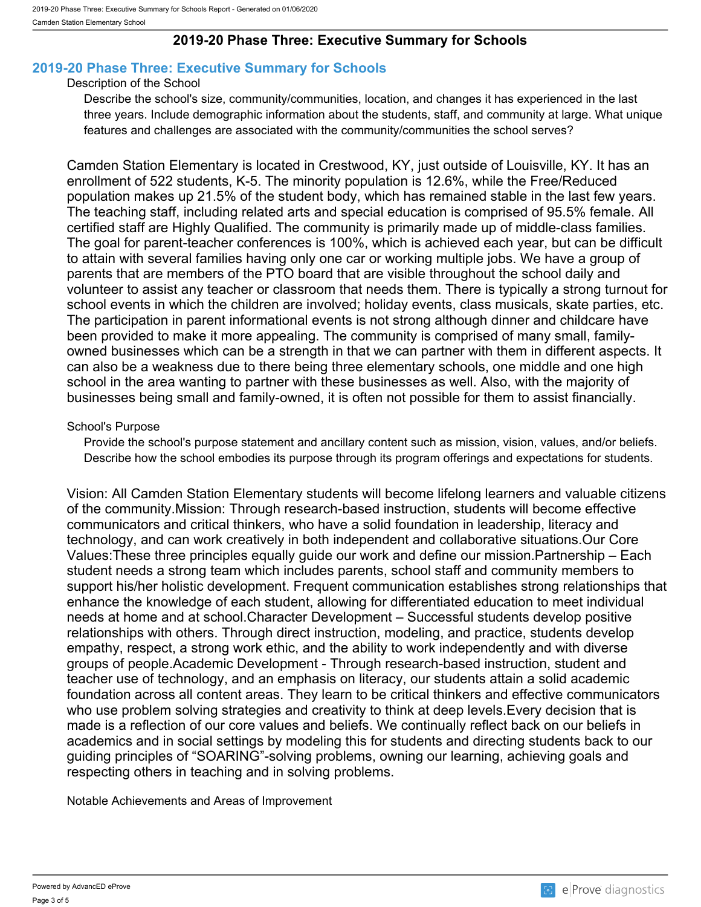## **2019-20 Phase Three: Executive Summary for Schools**

## <span id="page-2-0"></span>**2019-20 Phase Three: Executive Summary for Schools**

#### Description of the School

Describe the school's size, community/communities, location, and changes it has experienced in the last three years. Include demographic information about the students, staff, and community at large. What unique features and challenges are associated with the community/communities the school serves?

Camden Station Elementary is located in Crestwood, KY, just outside of Louisville, KY. It has an enrollment of 522 students, K-5. The minority population is 12.6%, while the Free/Reduced population makes up 21.5% of the student body, which has remained stable in the last few years. The teaching staff, including related arts and special education is comprised of 95.5% female. All certified staff are Highly Qualified. The community is primarily made up of middle-class families. The goal for parent-teacher conferences is 100%, which is achieved each year, but can be difficult to attain with several families having only one car or working multiple jobs. We have a group of parents that are members of the PTO board that are visible throughout the school daily and volunteer to assist any teacher or classroom that needs them. There is typically a strong turnout for school events in which the children are involved; holiday events, class musicals, skate parties, etc. The participation in parent informational events is not strong although dinner and childcare have been provided to make it more appealing. The community is comprised of many small, familyowned businesses which can be a strength in that we can partner with them in different aspects. It can also be a weakness due to there being three elementary schools, one middle and one high school in the area wanting to partner with these businesses as well. Also, with the majority of businesses being small and family-owned, it is often not possible for them to assist financially.

#### School's Purpose

Provide the school's purpose statement and ancillary content such as mission, vision, values, and/or beliefs. Describe how the school embodies its purpose through its program offerings and expectations for students.

Vision: All Camden Station Elementary students will become lifelong learners and valuable citizens of the community.Mission: Through research-based instruction, students will become effective communicators and critical thinkers, who have a solid foundation in leadership, literacy and technology, and can work creatively in both independent and collaborative situations.Our Core Values:These three principles equally guide our work and define our mission.Partnership – Each student needs a strong team which includes parents, school staff and community members to support his/her holistic development. Frequent communication establishes strong relationships that enhance the knowledge of each student, allowing for differentiated education to meet individual needs at home and at school.Character Development – Successful students develop positive relationships with others. Through direct instruction, modeling, and practice, students develop empathy, respect, a strong work ethic, and the ability to work independently and with diverse groups of people.Academic Development - Through research-based instruction, student and teacher use of technology, and an emphasis on literacy, our students attain a solid academic foundation across all content areas. They learn to be critical thinkers and effective communicators who use problem solving strategies and creativity to think at deep levels.Every decision that is made is a reflection of our core values and beliefs. We continually reflect back on our beliefs in academics and in social settings by modeling this for students and directing students back to our guiding principles of "SOARING"-solving problems, owning our learning, achieving goals and respecting others in teaching and in solving problems.

Notable Achievements and Areas of Improvement

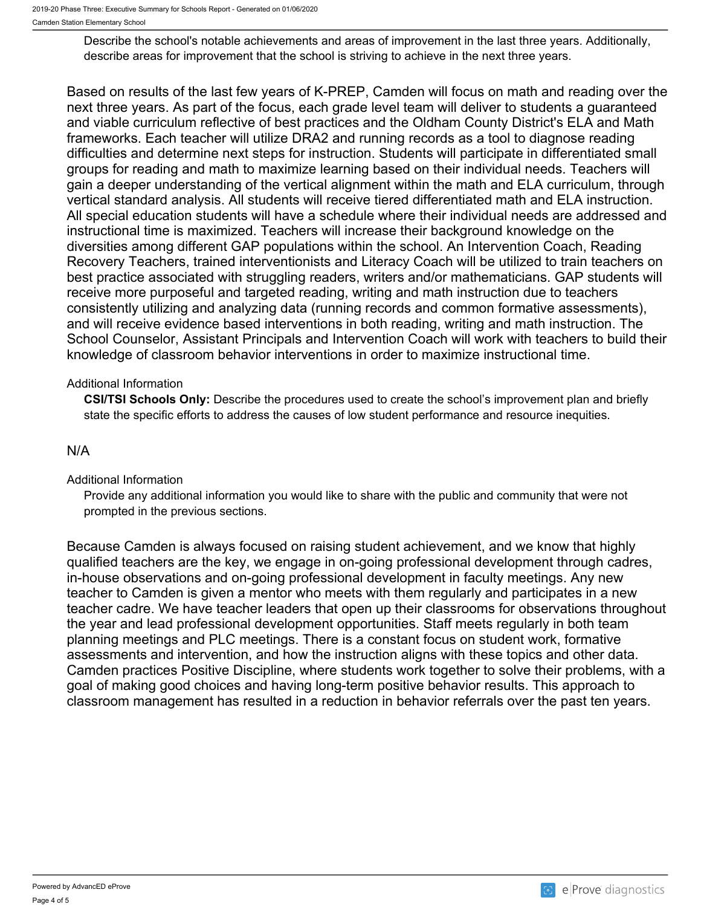Describe the school's notable achievements and areas of improvement in the last three years. Additionally, describe areas for improvement that the school is striving to achieve in the next three years.

Based on results of the last few years of K-PREP, Camden will focus on math and reading over the next three years. As part of the focus, each grade level team will deliver to students a guaranteed and viable curriculum reflective of best practices and the Oldham County District's ELA and Math frameworks. Each teacher will utilize DRA2 and running records as a tool to diagnose reading difficulties and determine next steps for instruction. Students will participate in differentiated small groups for reading and math to maximize learning based on their individual needs. Teachers will gain a deeper understanding of the vertical alignment within the math and ELA curriculum, through vertical standard analysis. All students will receive tiered differentiated math and ELA instruction. All special education students will have a schedule where their individual needs are addressed and instructional time is maximized. Teachers will increase their background knowledge on the diversities among different GAP populations within the school. An Intervention Coach, Reading Recovery Teachers, trained interventionists and Literacy Coach will be utilized to train teachers on best practice associated with struggling readers, writers and/or mathematicians. GAP students will receive more purposeful and targeted reading, writing and math instruction due to teachers consistently utilizing and analyzing data (running records and common formative assessments), and will receive evidence based interventions in both reading, writing and math instruction. The School Counselor, Assistant Principals and Intervention Coach will work with teachers to build their knowledge of classroom behavior interventions in order to maximize instructional time.

### Additional Information

**CSI/TSI Schools Only:** Describe the procedures used to create the school's improvement plan and briefly state the specific efforts to address the causes of low student performance and resource inequities.

## N/A

#### Additional Information

Provide any additional information you would like to share with the public and community that were not prompted in the previous sections.

Because Camden is always focused on raising student achievement, and we know that highly qualified teachers are the key, we engage in on-going professional development through cadres, in-house observations and on-going professional development in faculty meetings. Any new teacher to Camden is given a mentor who meets with them regularly and participates in a new teacher cadre. We have teacher leaders that open up their classrooms for observations throughout the year and lead professional development opportunities. Staff meets regularly in both team planning meetings and PLC meetings. There is a constant focus on student work, formative assessments and intervention, and how the instruction aligns with these topics and other data. Camden practices Positive Discipline, where students work together to solve their problems, with a goal of making good choices and having long-term positive behavior results. This approach to classroom management has resulted in a reduction in behavior referrals over the past ten years.